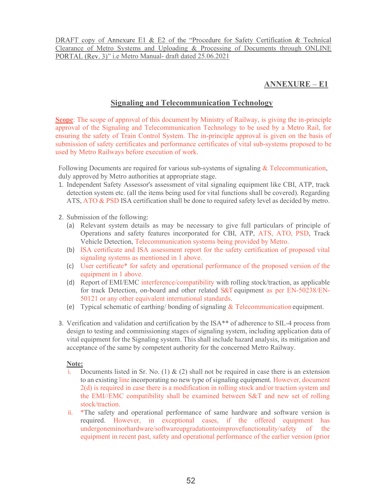Clearance of Metro Systems and Uploading & Processing of Documents through ONLINE PORTAL (Rev. 3)" i.e Metro Manual- draft dated 25.06.2021 nnexure E1 & E2 of the "Procedure for Safety Certification & Technical<br>
1. Systems and Uploading & Processing of Documents through ONLINE<br>
1. A. Metro Manual- draft dated 25.06.2021<br>  $\triangle NNEXURE - E1$ 

## **ANNEXURE – E1**

## Signaling and Telecommunication Technology

Scope: The scope of approval of this document by Ministry of Railway, is giving the in-principle approval of the Signaling and Telecommunication Technology to be used by a Metro Rail, for ensuring the safety of Train Control System. The in-principle approval is given on the basis of submission of safety certificates and performance certificates of vital sub-systems proposed to be used by Metro Railways before execution of work. We are the common the state of the "Procedure for Safety Certification & Technical<br>Transco of Metro Systems and Uploading & Processing of Documents through ONLINE<br>TRAL (Rev. 3)" i.e Metro Manual-draft dated 25.06.2021<br> **AN** 

Following Documents are required for various sub-systems of signaling  $&$  Telecommunication, duly approved by Metro authorities at appropriate stage.

- 1. Independent Safety Assessor's assessment of vital signaling equipment like CBI, ATP, track detection system etc. (all the items being used for vital functions shall be covered). Regarding
- 2. Submission of the following:
	- (a) Relevant system details as may be necessary to give full particulars of principle of Operations and safety features incorporated for CBI, ATP, ATS, ATO, PSD, Track Vehicle Detection, Telecommunication systems being provided by Metro.
	- (b) ISA certificate and ISA assessment report for the safety certification of proposed vital signaling systems as mentioned in 1 above.
	- (c) User certificate\* for safety and operational performance of the proposed version of the equipment in 1 above.
	- (d) Report of EMI/EMC interference/compatibility with rolling stock/traction, as applicable for track Detection, on-board and other related S&T equipment as per EN-50238/EN-50121 or any other equivalent international standards.
	- (e) Typical schematic of earthing/ bonding of signaling & Telecommunication equipment.
- 3. Verification and validation and certification by the ISA\*\* of adherence to SIL-4 process from design to testing and commissioning stages of signaling system, including application data of vital equipment for the Signaling system. This shall include hazard analysis, its mitigation and acceptance of the same by competent authority for the concerned Metro Railway.

### Note:

- i. Documents listed in Sr. No. (1)  $\&$  (2) shall not be required in case there is an extension to an existing line incorporating no new type of signaling equipment. However, document 2(d) is required in case there is a modification in rolling stock and/or traction system and the EMI//EMC compatibility shall be examined between S&T and new set of rolling stock/traction.
- ii. \*The safety and operational performance of same hardware and software version is required. However, in exceptional cases, if the offered equipment has undergoneminorhardware/softwareupgradationtoimprovefunctionality/safety of the equipment in recent past, safety and operational performance of the earlier version (prior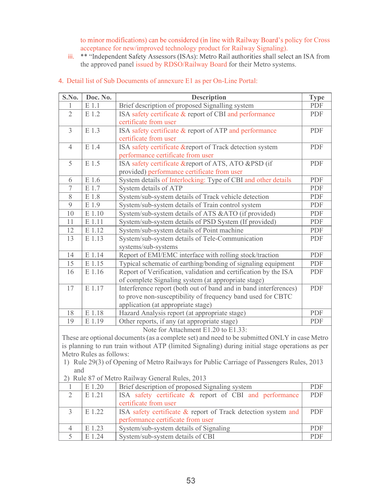| iii.           |                         | to minor modifications) can be considered (in line with Railway Board's policy for Cross<br>acceptance for new/improved technology product for Railway Signaling).<br>** "Independent Safety Assessors (ISAs): Metro Rail authorities shall select an ISA from |             |
|----------------|-------------------------|----------------------------------------------------------------------------------------------------------------------------------------------------------------------------------------------------------------------------------------------------------------|-------------|
|                |                         |                                                                                                                                                                                                                                                                |             |
|                |                         |                                                                                                                                                                                                                                                                |             |
|                |                         |                                                                                                                                                                                                                                                                |             |
|                |                         |                                                                                                                                                                                                                                                                |             |
|                |                         |                                                                                                                                                                                                                                                                |             |
|                |                         |                                                                                                                                                                                                                                                                |             |
|                |                         |                                                                                                                                                                                                                                                                |             |
|                |                         |                                                                                                                                                                                                                                                                |             |
|                |                         | the approved panel issued by RDSO/Railway Board for their Metro systems.                                                                                                                                                                                       |             |
|                |                         |                                                                                                                                                                                                                                                                |             |
|                |                         | 4. Detail list of Sub Documents of annexure E1 as per On-Line Portal:                                                                                                                                                                                          |             |
|                |                         |                                                                                                                                                                                                                                                                |             |
| S.No.          | Doc. No.                | <b>Description</b>                                                                                                                                                                                                                                             | <b>Type</b> |
|                | E 1.1                   | Brief description of proposed Signalling system                                                                                                                                                                                                                | PDF         |
| $\overline{2}$ | E 1.2                   | ISA safety certificate & report of CBI and performance                                                                                                                                                                                                         | PDF         |
|                |                         |                                                                                                                                                                                                                                                                |             |
|                |                         | certificate from user                                                                                                                                                                                                                                          |             |
| $\overline{3}$ | E 1.3                   | ISA safety certificate & report of ATP and performance                                                                                                                                                                                                         | PDF         |
|                |                         | certificate from user                                                                                                                                                                                                                                          |             |
| $\overline{4}$ | E 1.4                   | ISA safety certificate & report of Track detection system                                                                                                                                                                                                      | PDF         |
|                |                         | performance certificate from user                                                                                                                                                                                                                              |             |
| 5              | E 1.5                   | ISA safety certificate & report of ATS, ATO & PSD (if                                                                                                                                                                                                          | PDF         |
|                |                         | provided) performance certificate from user                                                                                                                                                                                                                    |             |
| 6              | E 1.6                   | System details of Interlocking: Type of CBI and other details                                                                                                                                                                                                  | PDF         |
| 7              | E 1.7                   | System details of ATP                                                                                                                                                                                                                                          | PDF         |
| 8              | E 1.8                   | System/sub-system details of Track vehicle detection                                                                                                                                                                                                           | PDF         |
|                |                         |                                                                                                                                                                                                                                                                |             |
| 9              | E 1.9                   | System/sub-system details of Train control system                                                                                                                                                                                                              | PDF         |
| 10             | E 1.10                  | System/sub-system details of ATS & ATO (if provided)                                                                                                                                                                                                           | PDF         |
| 11             | $E$ 1.11                | System/sub-system details of PSD System (If provided)                                                                                                                                                                                                          | PDF         |
| 12             | E 1.12                  | System/sub-system details of Point machine                                                                                                                                                                                                                     | PDF         |
| 13             | E 1.13                  | System/sub-system details of Tele-Communication                                                                                                                                                                                                                | PDF         |
|                |                         | systems/sub-systems                                                                                                                                                                                                                                            |             |
| 14             | E 1.14                  | Report of EMI/EMC interface with rolling stock/traction                                                                                                                                                                                                        | PDF         |
| 15             | E 1.15                  | Typical schematic of earthing/bonding of signaling equipment                                                                                                                                                                                                   | PDF         |
|                |                         |                                                                                                                                                                                                                                                                |             |
| 16             | E 1.16                  | Report of Verification, validation and certification by the ISA                                                                                                                                                                                                | PDF         |
|                |                         | of complete Signaling system (at appropriate stage)                                                                                                                                                                                                            |             |
| 17             | E 1.17                  | Interference report (both out of band and in band interferences)                                                                                                                                                                                               | PDF         |
|                |                         | to prove non-susceptibility of frequency band used for CBTC                                                                                                                                                                                                    |             |
|                |                         | application (at appropriate stage)                                                                                                                                                                                                                             |             |
| 18             | E 1.18                  | Hazard Analysis report (at appropriate stage)                                                                                                                                                                                                                  | PDF         |
| 19             | E 1.19                  | Other reports, if any (at appropriate stage)                                                                                                                                                                                                                   | PDF         |
|                |                         | Note for Attachment E1.20 to E1.33:                                                                                                                                                                                                                            |             |
|                |                         | These are optional documents (as a complete set) and need to be submitted ONLY in case Metro                                                                                                                                                                   |             |
|                |                         | is planning to run train without ATP (limited Signaling) during initial stage operations as per                                                                                                                                                                |             |
|                | Metro Rules as follows: |                                                                                                                                                                                                                                                                |             |
|                |                         | 1) Rule 29(3) of Opening of Metro Railways for Public Carriage of Passengers Rules, 2013                                                                                                                                                                       |             |
| and            |                         |                                                                                                                                                                                                                                                                |             |
|                |                         |                                                                                                                                                                                                                                                                |             |
|                |                         | 2) Rule 87 of Metro Railway General Rules, 2013                                                                                                                                                                                                                |             |
|                | $\to$ 1.20              | Brief description of proposed Signaling system                                                                                                                                                                                                                 | PDF         |
| $\overline{2}$ | E 1.21                  | ISA safety certificate & report of CBI and performance                                                                                                                                                                                                         | PDF         |
|                |                         | certificate from user                                                                                                                                                                                                                                          |             |
| $\mathfrak{Z}$ | E 1.22                  | ISA safety certificate & report of Track detection system and                                                                                                                                                                                                  | PDF         |
|                |                         | performance certificate from user                                                                                                                                                                                                                              |             |
| $\overline{4}$ | E 1.23                  | System/sub-system details of Signaling                                                                                                                                                                                                                         | PDF         |
|                | E 1.24                  | System/sub-system details of CBI                                                                                                                                                                                                                               | PDF         |
| 5              |                         |                                                                                                                                                                                                                                                                |             |

|                |                         | of complete Signaling system (at appropriate stage)                                             |            |
|----------------|-------------------------|-------------------------------------------------------------------------------------------------|------------|
| 17             | E 1.17                  | Interference report (both out of band and in band interferences)                                | <b>PDF</b> |
|                |                         | to prove non-susceptibility of frequency band used for CBTC                                     |            |
|                |                         | application (at appropriate stage)                                                              |            |
| 18             | E 1.18                  | Hazard Analysis report (at appropriate stage)                                                   | PDF        |
| 19             | E 1.19                  | Other reports, if any (at appropriate stage)                                                    | <b>PDF</b> |
|                |                         | Note for Attachment E1.20 to E1.33:                                                             |            |
|                |                         | These are optional documents (as a complete set) and need to be submitted ONLY in case Metro    |            |
|                |                         | is planning to run train without ATP (limited Signaling) during initial stage operations as per |            |
|                | Metro Rules as follows: |                                                                                                 |            |
|                |                         | 1) Rule 29(3) of Opening of Metro Railways for Public Carriage of Passengers Rules, 2013        |            |
| and            |                         |                                                                                                 |            |
|                |                         | 2) Rule 87 of Metro Railway General Rules, 2013                                                 |            |
|                | E 1.20                  | Brief description of proposed Signaling system                                                  | PDF        |
| $\overline{2}$ | E 1.21                  | ISA safety certificate $\&$ report of CBI and performance                                       | PDF        |
|                |                         | certificate from user                                                                           |            |
| $\overline{3}$ | E 1.22                  | ISA safety certificate & report of Track detection system and                                   | PDF        |
|                |                         | performance certificate from user                                                               |            |
| 4              | E 1.23                  | System/sub-system details of Signaling                                                          | PDF        |
| 5              | E 1.24                  | System/sub-system details of CBI                                                                | PDF        |
|                |                         |                                                                                                 |            |
|                |                         |                                                                                                 |            |
|                |                         |                                                                                                 |            |
|                |                         |                                                                                                 |            |
|                |                         | $ \sim$                                                                                         |            |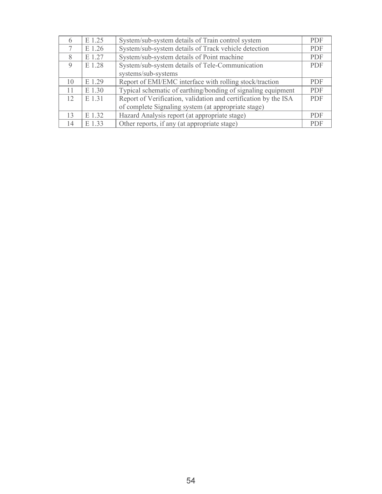| $\sigma$ | E 1.25 | System/sub-system details of Train control system               | <b>PDF</b> |
|----------|--------|-----------------------------------------------------------------|------------|
|          | E 1.26 | System/sub-system details of Track vehicle detection            | <b>PDF</b> |
| 8        | E 1.27 | System/sub-system details of Point machine                      | <b>PDF</b> |
| 9        | E 1.28 | System/sub-system details of Tele-Communication                 | <b>PDF</b> |
|          |        | systems/sub-systems                                             |            |
| 10       | E 1.29 | Report of EMI/EMC interface with rolling stock/traction         | <b>PDF</b> |
| 11       | E 1.30 | Typical schematic of earthing/bonding of signaling equipment    | <b>PDF</b> |
| 12       | E 1.31 | Report of Verification, validation and certification by the ISA | <b>PDF</b> |
|          |        | of complete Signaling system (at appropriate stage)             |            |
| 13       | E 1.32 | Hazard Analysis report (at appropriate stage)                   | <b>PDF</b> |
| 14       | E 1.33 | Other reports, if any (at appropriate stage)                    | <b>PDF</b> |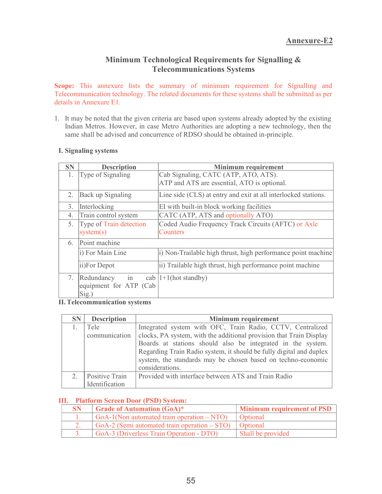# Telecommunications Systems

Annexure-E2<br>
Minimum Technological Requirements for Signalling &<br>
Telecommunications Systems<br>
nexure lists the summary of minimum requirement for Signalling and<br>
on technology. The related documents for these systems shall Scope: This annexure lists the summary of minimum requirement for Signalling and Telecommunication technology. The related documents for these systems shall be submitted as per details in Annexure E1. **1. It may be noted that the given criteria are based upon systems**<br> **1. It may be noted that the given criteria are based upon systems** shall be submitted as per<br> **1.** It may be noted that the given criteria are based up

|                                            |                                                     | <b>Annexure-E2</b>                                                                                                                                                                                                                                                                                                                                         |
|--------------------------------------------|-----------------------------------------------------|------------------------------------------------------------------------------------------------------------------------------------------------------------------------------------------------------------------------------------------------------------------------------------------------------------------------------------------------------------|
|                                            |                                                     | Minimum Technological Requirements for Signalling &<br><b>Telecommunications Systems</b>                                                                                                                                                                                                                                                                   |
|                                            | etails in Annexure E1.                              | cope: This annexure lists the summary of minimum requirement for Signalling and<br>elecommunication technology. The related documents for these systems shall be submitted as per                                                                                                                                                                          |
|                                            |                                                     | . It may be noted that the given criteria are based upon systems already adopted by the existing<br>Indian Metros. However, in case Metro Authorities are adopting a new technology, then the<br>same shall be advised and concurrence of RDSO should be obtained in-principle.                                                                            |
|                                            | <b>I. Signaling systems</b>                         |                                                                                                                                                                                                                                                                                                                                                            |
| SN                                         | <b>Description</b>                                  | <b>Minimum requirement</b>                                                                                                                                                                                                                                                                                                                                 |
| 1.                                         | Type of Signaling                                   | Cab Signaling, CATC (ATP, ATO, ATS).<br>ATP and ATS are essential, ATO is optional.                                                                                                                                                                                                                                                                        |
| 2.                                         | Back up Signaling                                   | Line side (CLS) at entry and exit at all interlocked stations.                                                                                                                                                                                                                                                                                             |
| 3.                                         | Interlocking                                        | EI with built-in block working facilities                                                                                                                                                                                                                                                                                                                  |
| 4.                                         | Train control system                                | CATC (ATP, ATS and optionally ATO)                                                                                                                                                                                                                                                                                                                         |
| 5.<br>Type of Train detection<br>system(s) |                                                     | Coded Audio Frequency Track Circuits (AFTC) or Axle<br>Counters                                                                                                                                                                                                                                                                                            |
| 6.                                         | Point machine                                       |                                                                                                                                                                                                                                                                                                                                                            |
|                                            | i) For Main Line                                    | i) Non-Trailable high thrust, high performance point machine                                                                                                                                                                                                                                                                                               |
|                                            | ii)For Depot                                        | ii) Trailable high thrust, high performance point machine                                                                                                                                                                                                                                                                                                  |
| 7.                                         | in<br>Redundancy<br>equipment for ATP (Cab<br>Sig.) | cab $ 1+1$ (hot standby)                                                                                                                                                                                                                                                                                                                                   |
|                                            | <b>II. Telecommunication systems</b>                |                                                                                                                                                                                                                                                                                                                                                            |
| <b>SN</b>                                  | <b>Description</b>                                  | Minimum requirement                                                                                                                                                                                                                                                                                                                                        |
| 1.                                         | Tele<br>communication                               | Integrated system with OFC, Train Radio, CCTV, Centralized<br>clocks, PA system, with the additional provision that Train Display<br>Boards at stations should also be integrated in the system.<br>Regarding Train Radio system, it should be fully digital and duplex<br>system, the standards may be chosen based on techno-economic<br>considerations. |
| 2.                                         | Positive Train<br>Identification                    | Provided with interface between ATS and Train Radio                                                                                                                                                                                                                                                                                                        |

| 6.        | Point machine                                  |                                                                     |                                                              |  |  |
|-----------|------------------------------------------------|---------------------------------------------------------------------|--------------------------------------------------------------|--|--|
|           | i) For Main Line                               |                                                                     | i) Non-Trailable high thrust, high performance point machine |  |  |
|           | ii)For Depot                                   |                                                                     | ii) Trailable high thrust, high performance point machine    |  |  |
| 7.        | in<br>Redundancy                               | cab $ 1+1$ (hot standby)                                            |                                                              |  |  |
|           | equipment for ATP (Cab<br>Sig.)                |                                                                     |                                                              |  |  |
|           | <b>II. Telecommunication systems</b>           |                                                                     |                                                              |  |  |
| <b>SN</b> | <b>Description</b>                             |                                                                     | Minimum requirement                                          |  |  |
| 1.        | Tele                                           | Integrated system with OFC, Train Radio, CCTV, Centralized          |                                                              |  |  |
|           | communication                                  | clocks, PA system, with the additional provision that Train Display |                                                              |  |  |
|           |                                                | Boards at stations should also be integrated in the system.         |                                                              |  |  |
|           |                                                | Regarding Train Radio system, it should be fully digital and duplex |                                                              |  |  |
|           |                                                |                                                                     | system, the standards may be chosen based on techno-economic |  |  |
|           |                                                | considerations.                                                     |                                                              |  |  |
| 2.        | Positive Train                                 | Provided with interface between ATS and Train Radio                 |                                                              |  |  |
|           | Identification                                 |                                                                     |                                                              |  |  |
|           | <b>III.</b> Platform Screen Door (PSD) System: |                                                                     |                                                              |  |  |
| <b>SN</b> |                                                | <b>Grade of Automation (GoA)*</b>                                   | <b>Minimum requirement of PSD</b>                            |  |  |
| 1.        |                                                | $GoA-1(Non automated train operation - NTO)$                        | Optional                                                     |  |  |
| 2.        |                                                | GoA-2 (Semi automated train operation – STO)                        | Optional                                                     |  |  |
| 3.        |                                                | GoA-3 (Driverless Train Operation - DTO)                            | Shall be provided                                            |  |  |

| <b>SN</b> | Grade of Automation $(GoA)^*$                             | <b>Minimum requirement of PSD</b> |
|-----------|-----------------------------------------------------------|-----------------------------------|
|           | GoA-1(Non automated train operation $-NTO$ )              | Optional                          |
|           | GoA-2 (Semi automated train operation $-$ STO)   Optional |                                   |
|           | GoA-3 (Driverless Train Operation - DTO)                  | Shall be provided                 |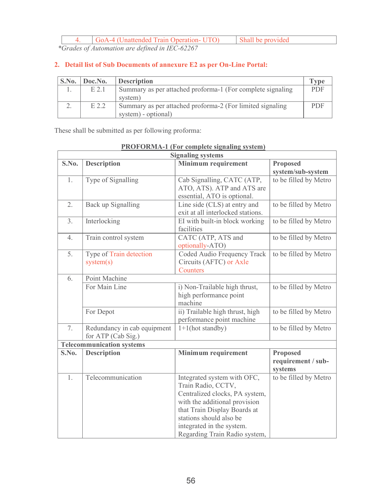| 4.    |         | Shall be provided<br>GoA-4 (Unattended Train Operation- UTO)               |             |
|-------|---------|----------------------------------------------------------------------------|-------------|
|       |         | *Grades of Automation are defined in IEC-62267                             |             |
|       |         |                                                                            |             |
|       |         | 2. Detail list of Sub Documents of annexure E2 as per On-Line Portal:      |             |
| S.No. | Doc.No. | <b>Description</b>                                                         | <b>Type</b> |
| 1.    | $E$ 2.1 | Summary as per attached proforma-1 (For complete signaling<br>system)      | PDF         |
| 2.    | E 2.2   | Summary as per attached proforma-2 (For limited signaling                  | PDF         |
|       |         | system) - optional)<br>These shall be submitted as per following proforma: |             |

| 4.    |                                      | GoA-4 (Unattended Train Operation- UTO)             | Shall be provided                                                                                                                                                                                                                             |                                                  |             |
|-------|--------------------------------------|-----------------------------------------------------|-----------------------------------------------------------------------------------------------------------------------------------------------------------------------------------------------------------------------------------------------|--------------------------------------------------|-------------|
|       |                                      | *Grades of Automation are defined in IEC-62267      |                                                                                                                                                                                                                                               |                                                  |             |
|       |                                      |                                                     | 2. Detail list of Sub Documents of annexure E2 as per On-Line Portal:                                                                                                                                                                         |                                                  |             |
| S.No. | Doc.No.                              | <b>Description</b>                                  |                                                                                                                                                                                                                                               |                                                  | <b>Type</b> |
| 1.    | E 2.1                                | system)                                             | Summary as per attached proforma-1 (For complete signaling                                                                                                                                                                                    |                                                  | <b>PDF</b>  |
| 2.    | E 2.2<br>system) - optional)         |                                                     | Summary as per attached proforma-2 (For limited signaling                                                                                                                                                                                     |                                                  | PDF         |
|       |                                      | These shall be submitted as per following proforma: | <b>PROFORMA-1 (For complete signaling system)</b><br><b>Signaling systems</b>                                                                                                                                                                 |                                                  |             |
| S.No. | <b>Description</b>                   |                                                     | <b>Minimum requirement</b>                                                                                                                                                                                                                    | <b>Proposed</b>                                  |             |
|       |                                      |                                                     |                                                                                                                                                                                                                                               | system/sub-system                                |             |
| 1.    | Type of Signalling                   |                                                     | Cab Signalling, CATC (ATP,<br>ATO, ATS). ATP and ATS are<br>essential, ATO is optional.                                                                                                                                                       | to be filled by Metro                            |             |
| 2.    |                                      | Back up Signalling                                  | Line side (CLS) at entry and<br>exit at all interlocked stations.                                                                                                                                                                             | to be filled by Metro                            |             |
| 3.    | Interlocking                         |                                                     | EI with built-in block working<br>facilities                                                                                                                                                                                                  | to be filled by Metro                            |             |
| 4.    |                                      | Train control system                                | CATC (ATP, ATS and<br>optionally-ATO)                                                                                                                                                                                                         | to be filled by Metro                            |             |
| 5.    | Type of Train detection<br>system(s) |                                                     | Coded Audio Frequency Track<br>Circuits (AFTC) or Axle<br>Counters                                                                                                                                                                            | to be filled by Metro                            |             |
| 6.    | Point Machine                        |                                                     |                                                                                                                                                                                                                                               |                                                  |             |
|       | For Main Line                        |                                                     | i) Non-Trailable high thrust,<br>high performance point<br>machine                                                                                                                                                                            | to be filled by Metro                            |             |
|       | For Depot                            |                                                     | ii) Trailable high thrust, high<br>performance point machine                                                                                                                                                                                  | to be filled by Metro                            |             |
| 7.    |                                      | Redundancy in cab equipment<br>for ATP (Cab Sig.)   | $1+1$ (hot standby)                                                                                                                                                                                                                           | to be filled by Metro                            |             |
|       |                                      | <b>Telecommunication systems</b>                    |                                                                                                                                                                                                                                               |                                                  |             |
| S.No. | <b>Description</b>                   |                                                     | Minimum requirement                                                                                                                                                                                                                           | <b>Proposed</b><br>requirement / sub-<br>systems |             |
| 1.    |                                      | Telecommunication                                   | Integrated system with OFC,<br>Train Radio, CCTV,<br>Centralized clocks, PA system,<br>with the additional provision<br>that Train Display Boards at<br>stations should also be<br>integrated in the system.<br>Regarding Train Radio system, | to be filled by Metro                            |             |

PROFORMA-1 (For complete signaling system)